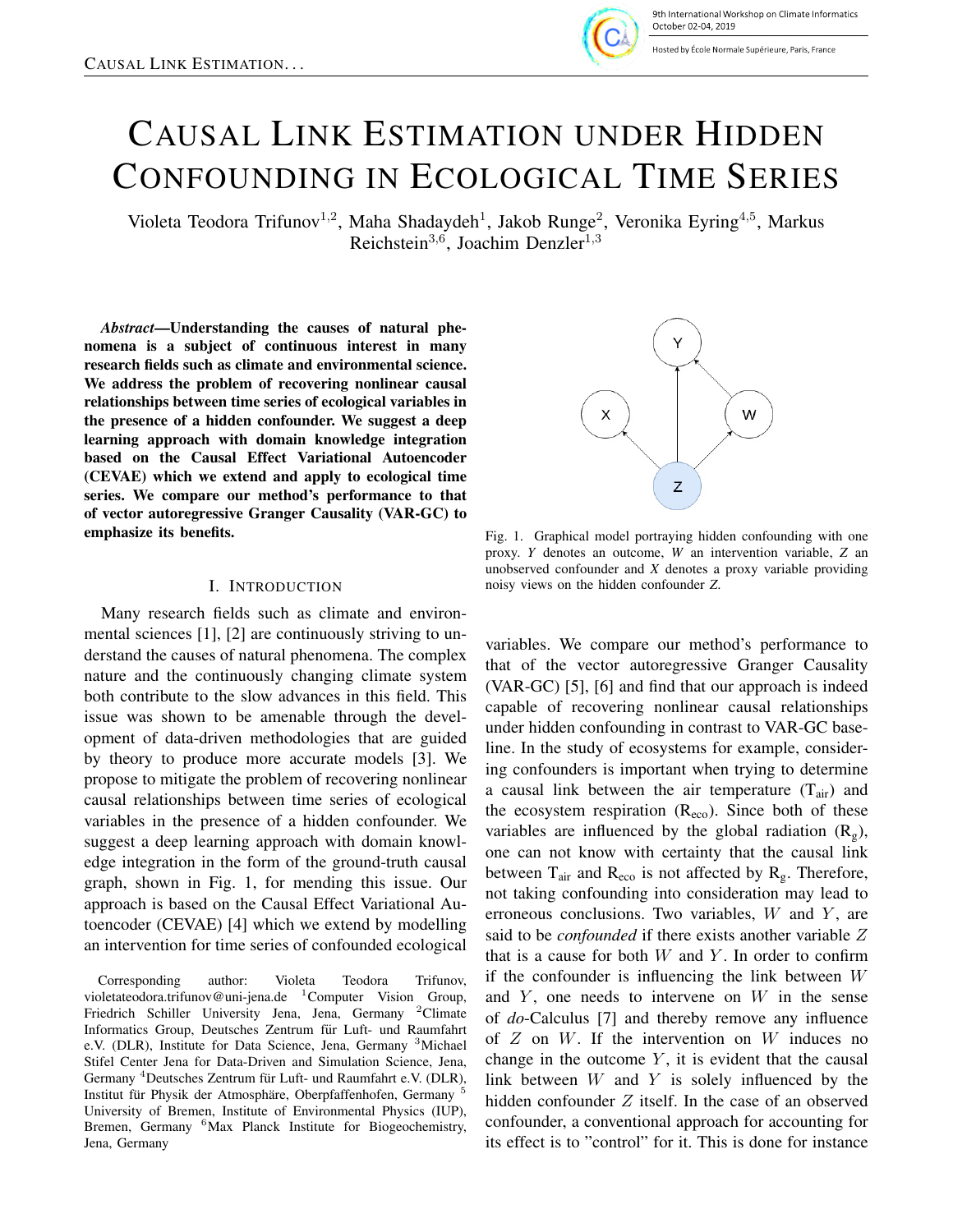

9th International Workshop on Climate Informatics October 02-04. 2019

Hosted by École Normale Supérieure, Paris, France

# CAUSAL LINK ESTIMATION UNDER HIDDEN CONFOUNDING IN ECOLOGICAL TIME SERIES

Violeta Teodora Trifunov<sup>1,2</sup>, Maha Shadaydeh<sup>1</sup>, Jakob Runge<sup>2</sup>, Veronika Eyring<sup>4,5</sup>, Markus Reichstein<sup>3,6</sup>, Joachim Denzler<sup>1,3</sup>

*Abstract*—Understanding the causes of natural phenomena is a subject of continuous interest in many research fields such as climate and environmental science. We address the problem of recovering nonlinear causal relationships between time series of ecological variables in the presence of a hidden confounder. We suggest a deep learning approach with domain knowledge integration based on the Causal Effect Variational Autoencoder (CEVAE) which we extend and apply to ecological time series. We compare our method's performance to that of vector autoregressive Granger Causality (VAR-GC) to emphasize its benefits.

#### I. INTRODUCTION

Many research fields such as climate and environmental sciences [1], [2] are continuously striving to understand the causes of natural phenomena. The complex nature and the continuously changing climate system both contribute to the slow advances in this field. This issue was shown to be amenable through the development of data-driven methodologies that are guided by theory to produce more accurate models [3]. We propose to mitigate the problem of recovering nonlinear causal relationships between time series of ecological variables in the presence of a hidden confounder. We suggest a deep learning approach with domain knowledge integration in the form of the ground-truth causal graph, shown in Fig. 1, for mending this issue. Our approach is based on the Causal Effect Variational Autoencoder (CEVAE) [4] which we extend by modelling an intervention for time series of confounded ecological

Corresponding author: Violeta Teodora Trifunov, violetateodora.trifunov@uni-jena.de <sup>1</sup>Computer Vision Group, Friedrich Schiller University Jena, Jena, Germany <sup>2</sup>Climate Informatics Group, Deutsches Zentrum für Luft- und Raumfahrt e.V. (DLR), Institute for Data Science, Jena, Germany <sup>3</sup>Michael Stifel Center Jena for Data-Driven and Simulation Science, Jena, Germany <sup>4</sup>Deutsches Zentrum für Luft- und Raumfahrt e.V. (DLR), Institut für Physik der Atmosphäre, Oberpfaffenhofen, Germany<sup>5</sup> University of Bremen, Institute of Environmental Physics (IUP), Bremen, Germany <sup>6</sup>Max Planck Institute for Biogeochemistry, Jena, Germany



Fig. 1. Graphical model portraying hidden confounding with one proxy. *Y* denotes an outcome, *W* an intervention variable, *Z* an unobserved confounder and *X* denotes a proxy variable providing noisy views on the hidden confounder *Z*.

variables. We compare our method's performance to that of the vector autoregressive Granger Causality (VAR-GC) [5], [6] and find that our approach is indeed capable of recovering nonlinear causal relationships under hidden confounding in contrast to VAR-GC baseline. In the study of ecosystems for example, considering confounders is important when trying to determine a causal link between the air temperature  $(T_{air})$  and the ecosystem respiration  $(R_{\text{eco}})$ . Since both of these variables are influenced by the global radiation  $(R_g)$ , one can not know with certainty that the causal link between  $T_{air}$  and  $R_{eco}$  is not affected by  $R_g$ . Therefore, not taking confounding into consideration may lead to erroneous conclusions. Two variables,  $W$  and  $Y$ , are said to be *confounded* if there exists another variable Z that is a cause for both  $W$  and  $Y$ . In order to confirm if the confounder is influencing the link between W and  $Y$ , one needs to intervene on  $W$  in the sense of *do*-Calculus [7] and thereby remove any influence of  $Z$  on  $W$ . If the intervention on  $W$  induces no change in the outcome  $Y$ , it is evident that the causal link between  $W$  and  $Y$  is solely influenced by the hidden confounder  $Z$  itself. In the case of an observed confounder, a conventional approach for accounting for its effect is to "control" for it. This is done for instance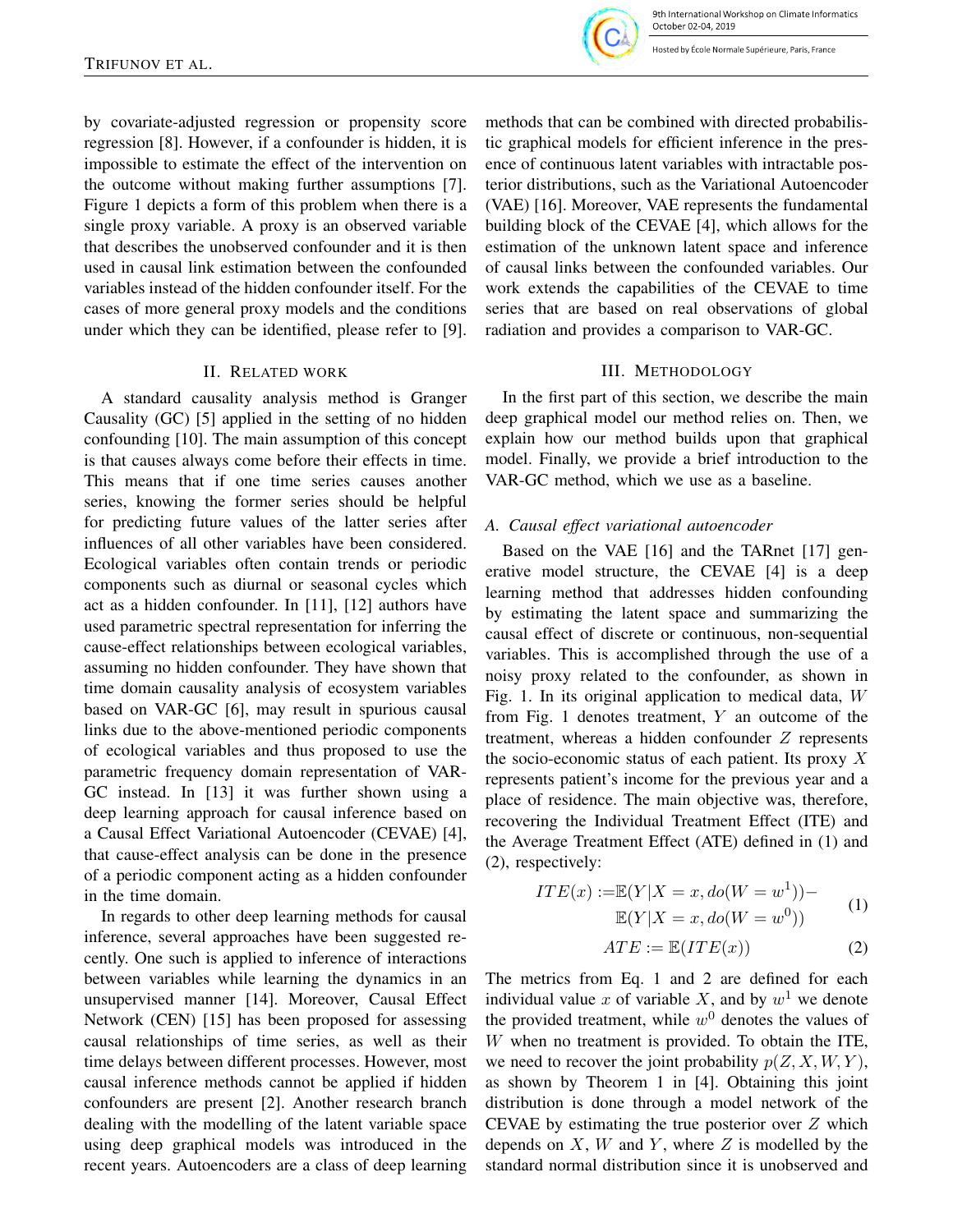losted by École Normale Supérieure, Paris, France

by covariate-adjusted regression or propensity score regression [8]. However, if a confounder is hidden, it is impossible to estimate the effect of the intervention on the outcome without making further assumptions [7]. Figure 1 depicts a form of this problem when there is a single proxy variable. A proxy is an observed variable that describes the unobserved confounder and it is then used in causal link estimation between the confounded variables instead of the hidden confounder itself. For the cases of more general proxy models and the conditions under which they can be identified, please refer to [9].

### II. RELATED WORK

A standard causality analysis method is Granger Causality (GC) [5] applied in the setting of no hidden confounding [10]. The main assumption of this concept is that causes always come before their effects in time. This means that if one time series causes another series, knowing the former series should be helpful for predicting future values of the latter series after influences of all other variables have been considered. Ecological variables often contain trends or periodic components such as diurnal or seasonal cycles which act as a hidden confounder. In [11], [12] authors have used parametric spectral representation for inferring the cause-effect relationships between ecological variables, assuming no hidden confounder. They have shown that time domain causality analysis of ecosystem variables based on VAR-GC [6], may result in spurious causal links due to the above-mentioned periodic components of ecological variables and thus proposed to use the parametric frequency domain representation of VAR-GC instead. In [13] it was further shown using a deep learning approach for causal inference based on a Causal Effect Variational Autoencoder (CEVAE) [4], that cause-effect analysis can be done in the presence of a periodic component acting as a hidden confounder in the time domain.

In regards to other deep learning methods for causal inference, several approaches have been suggested recently. One such is applied to inference of interactions between variables while learning the dynamics in an unsupervised manner [14]. Moreover, Causal Effect Network (CEN) [15] has been proposed for assessing causal relationships of time series, as well as their time delays between different processes. However, most causal inference methods cannot be applied if hidden confounders are present [2]. Another research branch dealing with the modelling of the latent variable space using deep graphical models was introduced in the recent years. Autoencoders are a class of deep learning

methods that can be combined with directed probabilistic graphical models for efficient inference in the presence of continuous latent variables with intractable posterior distributions, such as the Variational Autoencoder (VAE) [16]. Moreover, VAE represents the fundamental building block of the CEVAE [4], which allows for the estimation of the unknown latent space and inference of causal links between the confounded variables. Our work extends the capabilities of the CEVAE to time series that are based on real observations of global radiation and provides a comparison to VAR-GC.

# III. METHODOLOGY

In the first part of this section, we describe the main deep graphical model our method relies on. Then, we explain how our method builds upon that graphical model. Finally, we provide a brief introduction to the VAR-GC method, which we use as a baseline.

# *A. Causal effect variational autoencoder*

Based on the VAE [16] and the TARnet [17] generative model structure, the CEVAE [4] is a deep learning method that addresses hidden confounding by estimating the latent space and summarizing the causal effect of discrete or continuous, non-sequential variables. This is accomplished through the use of a noisy proxy related to the confounder, as shown in Fig. 1. In its original application to medical data, W from Fig. 1 denotes treatment,  $Y$  an outcome of the treatment, whereas a hidden confounder  $Z$  represents the socio-economic status of each patient. Its proxy  $X$ represents patient's income for the previous year and a place of residence. The main objective was, therefore, recovering the Individual Treatment Effect (ITE) and the Average Treatment Effect (ATE) defined in (1) and (2), respectively:

$$
ITE(x) := \mathbb{E}(Y|X = x, do(W = w^{1})) -
$$
  

$$
\mathbb{E}(Y|X = x, do(W = w^{0}))
$$
 (1)

$$
ATE := \mathbb{E}(ITE(x)) \tag{2}
$$

The metrics from Eq. 1 and 2 are defined for each individual value x of variable X, and by  $w<sup>1</sup>$  we denote the provided treatment, while  $w^0$  denotes the values of W when no treatment is provided. To obtain the ITE, we need to recover the joint probability  $p(Z, X, W, Y)$ , as shown by Theorem 1 in [4]. Obtaining this joint distribution is done through a model network of the CEVAE by estimating the true posterior over Z which depends on  $X$ ,  $W$  and  $Y$ , where  $Z$  is modelled by the standard normal distribution since it is unobserved and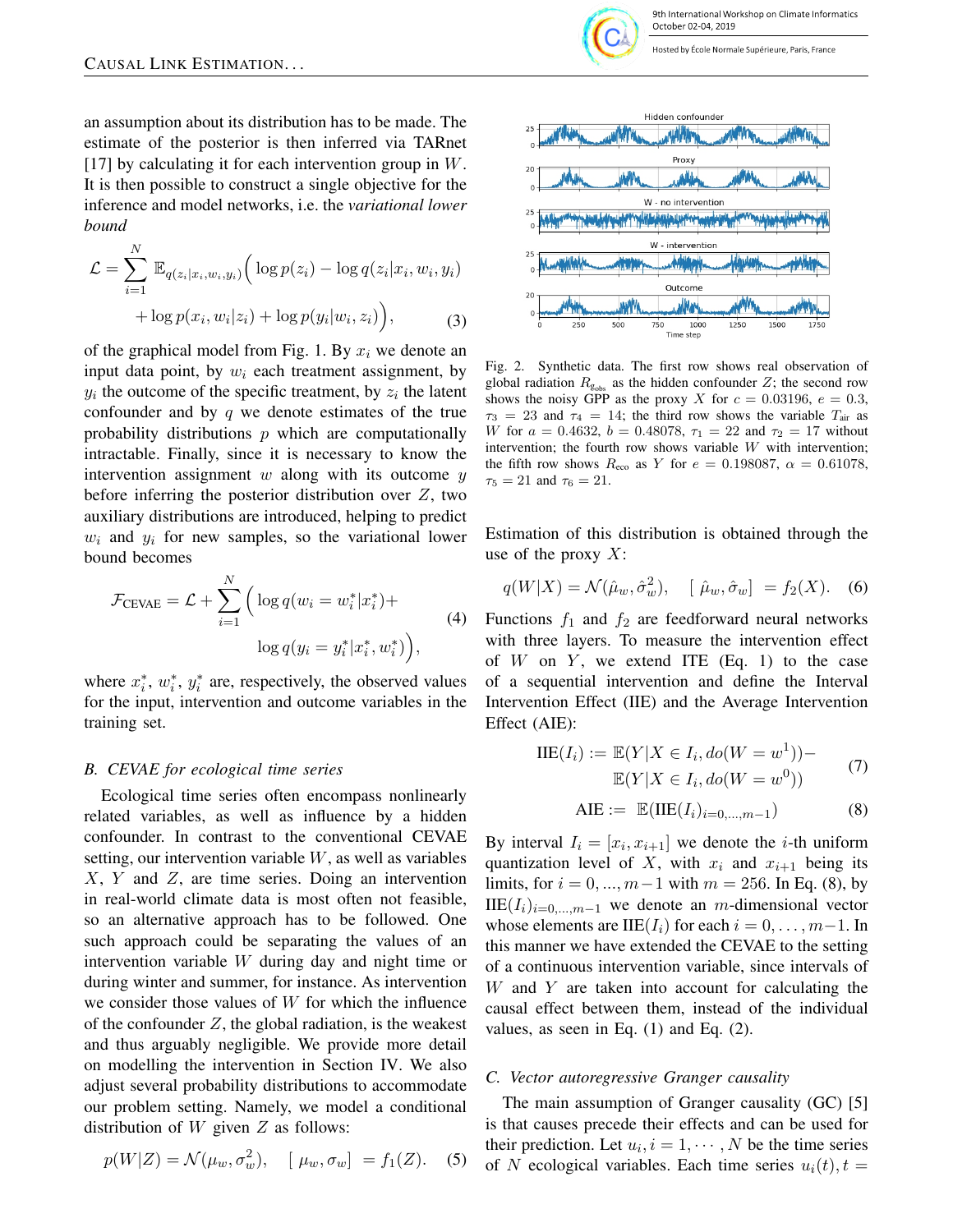an assumption about its distribution has to be made. The estimate of the posterior is then inferred via TARnet [17] by calculating it for each intervention group in  $W$ . It is then possible to construct a single objective for the inference and model networks, i.e. the *variational lower bound*

$$
\mathcal{L} = \sum_{i=1}^{N} \mathbb{E}_{q(z_i|x_i, w_i, y_i)} \Big( \log p(z_i) - \log q(z_i|x_i, w_i, y_i) + \log p(x_i, w_i|z_i) + \log p(y_i|w_i, z_i) \Big), \tag{3}
$$

of the graphical model from Fig. 1. By  $x_i$  we denote an input data point, by  $w_i$  each treatment assignment, by  $y_i$  the outcome of the specific treatment, by  $z_i$  the latent confounder and by  $q$  we denote estimates of the true probability distributions  $p$  which are computationally intractable. Finally, since it is necessary to know the intervention assignment  $w$  along with its outcome  $y$ before inferring the posterior distribution over  $Z$ , two auxiliary distributions are introduced, helping to predict  $w_i$  and  $y_i$  for new samples, so the variational lower bound becomes

$$
\mathcal{F}_{\text{CEVAE}} = \mathcal{L} + \sum_{i=1}^{N} \left( \log q(w_i = w_i^* | x_i^*) + \log q(y_i = y_i^* | x_i^*, w_i^*) \right),\tag{4}
$$

where  $x_i^*$ ,  $w_i^*$ ,  $y_i^*$  are, respectively, the observed values for the input, intervention and outcome variables in the training set.

#### *B. CEVAE for ecological time series*

Ecological time series often encompass nonlinearly related variables, as well as influence by a hidden confounder. In contrast to the conventional CEVAE setting, our intervention variable W, as well as variables X, Y and Z, are time series. Doing an intervention in real-world climate data is most often not feasible, so an alternative approach has to be followed. One such approach could be separating the values of an intervention variable W during day and night time or during winter and summer, for instance. As intervention we consider those values of  $W$  for which the influence of the confounder  $Z$ , the global radiation, is the weakest and thus arguably negligible. We provide more detail on modelling the intervention in Section IV. We also adjust several probability distributions to accommodate our problem setting. Namely, we model a conditional distribution of  $W$  given  $Z$  as follows:

$$
p(W|Z) = \mathcal{N}(\mu_w, \sigma_w^2), \quad [\mu_w, \sigma_w] = f_1(Z). \quad (5)
$$



Fig. 2. Synthetic data. The first row shows real observation of global radiation  $R_{g_{obs}}$  as the hidden confounder Z; the second row shows the noisy GPP as the proxy X for  $c = 0.03196$ ,  $e = 0.3$ ,  $\tau_3 = 23$  and  $\tau_4 = 14$ ; the third row shows the variable  $T_{\text{air}}$  as W for  $a = 0.4632$ ,  $b = 0.48078$ ,  $\tau_1 = 22$  and  $\tau_2 = 17$  without intervention; the fourth row shows variable  $W$  with intervention; the fifth row shows  $R_{\text{eco}}$  as Y for  $e = 0.198087$ ,  $\alpha = 0.61078$ ,  $\tau_5 = 21$  and  $\tau_6 = 21$ .

Time step

Estimation of this distribution is obtained through the use of the proxy  $X$ :

$$
q(W|X) = \mathcal{N}(\hat{\mu}_w, \hat{\sigma}_w^2), \quad [\hat{\mu}_w, \hat{\sigma}_w] = f_2(X). \quad (6)
$$

Functions  $f_1$  and  $f_2$  are feedforward neural networks with three layers. To measure the intervention effect of W on Y, we extend ITE  $(Eq, 1)$  to the case of a sequential intervention and define the Interval Intervention Effect (IIE) and the Average Intervention Effect (AIE):

$$
IIE(I_i) := \mathbb{E}(Y|X \in I_i, do(W = w^1)) - \mathbb{E}(Y|X \in I_i, do(W = w^0))
$$
\n(7)

$$
AIE := \mathbb{E}(\text{IIE}(I_i)_{i=0,\dots,m-1})
$$
\n(8)

By interval  $I_i = [x_i, x_{i+1}]$  we denote the *i*-th uniform quantization level of X, with  $x_i$  and  $x_{i+1}$  being its limits, for  $i = 0, ..., m-1$  with  $m = 256$ . In Eq. (8), by  $IIE(I_i)_{i=0,\dots,m-1}$  we denote an m-dimensional vector whose elements are IIE( $I_i$ ) for each  $i = 0, \ldots, m-1$ . In this manner we have extended the CEVAE to the setting of a continuous intervention variable, since intervals of  $W$  and  $Y$  are taken into account for calculating the causal effect between them, instead of the individual values, as seen in Eq.  $(1)$  and Eq.  $(2)$ .

# *C. Vector autoregressive Granger causality*

The main assumption of Granger causality (GC) [5] is that causes precede their effects and can be used for their prediction. Let  $u_i$ ,  $i = 1, \dots, N$  be the time series of N ecological variables. Each time series  $u_i(t)$ ,  $t =$ 

1500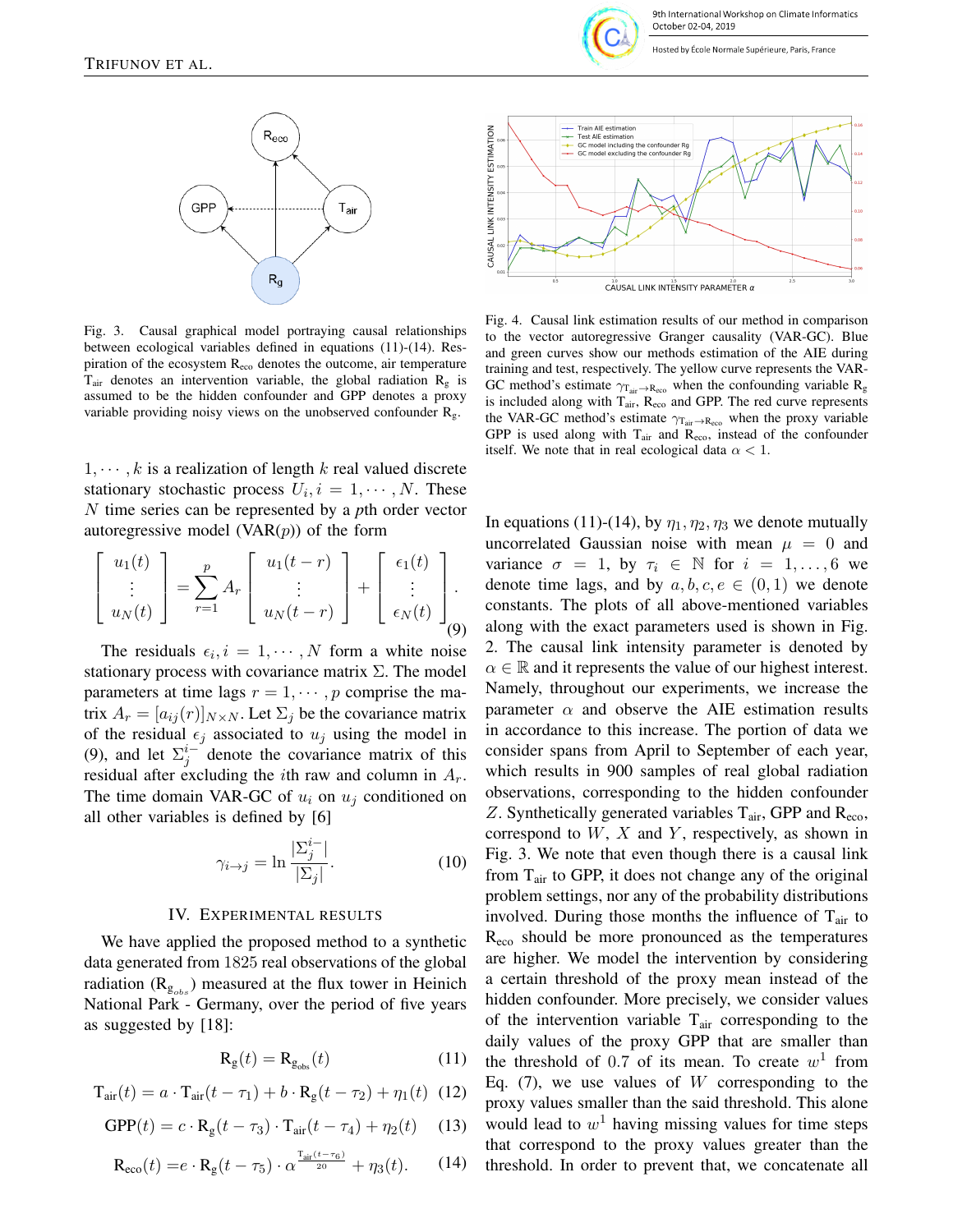

9th International Workshop on Climate Informatics October 02-04, 2019

Hosted by École Normale Supérieure, Paris, France



Fig. 3. Causal graphical model portraying causal relationships between ecological variables defined in equations (11)-(14). Respiration of the ecosystem Reco denotes the outcome, air temperature  $T_{\text{air}}$  denotes an intervention variable, the global radiation  $R_{\text{g}}$  is assumed to be the hidden confounder and GPP denotes a proxy variable providing noisy views on the unobserved confounder  $R_g$ .

 $1, \dots, k$  is a realization of length k real valued discrete stationary stochastic process  $U_i, i = 1, \cdots, N$ . These N time series can be represented by a *p*th order vector autoregressive model (VAR $(p)$ ) of the form

$$
\begin{bmatrix} u_1(t) \\ \vdots \\ u_N(t) \end{bmatrix} = \sum_{r=1}^p A_r \begin{bmatrix} u_1(t-r) \\ \vdots \\ u_N(t-r) \end{bmatrix} + \begin{bmatrix} \epsilon_1(t) \\ \vdots \\ \epsilon_N(t) \end{bmatrix}.
$$
 (9)

The residuals  $\epsilon_i$ ,  $i = 1, \dots, N$  form a white noise stationary process with covariance matrix  $\Sigma$ . The model parameters at time lags  $r = 1, \dots, p$  comprise the matrix  $A_r = [a_{ij}(r)]_{N \times N}$ . Let  $\Sigma_j$  be the covariance matrix of the residual  $\epsilon_i$  associated to  $u_i$  using the model in (9), and let  $\sum_{j}^{i}$  denote the covariance matrix of this residual after excluding the *i*th raw and column in  $A_r$ . The time domain VAR-GC of  $u_i$  on  $u_j$  conditioned on all other variables is defined by [6]

$$
\gamma_{i \to j} = \ln \frac{|\Sigma_j^{i-}|}{|\Sigma_j|}.
$$
\n(10)

#### IV. EXPERIMENTAL RESULTS

We have applied the proposed method to a synthetic data generated from 1825 real observations of the global radiation ( $\text{R}_{g_{obs}}$ ) measured at the flux tower in Heinich National Park - Germany, over the period of five years as suggested by [18]:

$$
\mathbf{R}_{\mathbf{g}}(t) = \mathbf{R}_{\mathbf{g}_{\text{obs}}}(t) \tag{11}
$$

$$
\mathbf{T}_{\text{air}}(t) = a \cdot \mathbf{T}_{\text{air}}(t - \tau_1) + b \cdot \mathbf{R}_{\text{g}}(t - \tau_2) + \eta_1(t) \tag{12}
$$

$$
\text{GPP}(t) = c \cdot \mathbf{R}_{\text{g}}(t - \tau_3) \cdot \mathbf{T}_{\text{air}}(t - \tau_4) + \eta_2(t) \tag{13}
$$

$$
\mathbf{R}_{\text{eco}}(t) = e \cdot \mathbf{R}_{\text{g}}(t - \tau_5) \cdot \alpha^{\frac{\mathbf{T}_{\text{air}}(t - \tau_6)}{20}} + \eta_3(t). \tag{14}
$$



Fig. 4. Causal link estimation results of our method in comparison to the vector autoregressive Granger causality (VAR-GC). Blue and green curves show our methods estimation of the AIE during training and test, respectively. The yellow curve represents the VAR-GC method's estimate  $\gamma_{T_{air}\rightarrow R_{eco}}$  when the confounding variable  $R_g$ is included along with  $T_{air}$ ,  $R_{eco}$  and GPP. The red curve represents the VAR-GC method's estimate  $\gamma_{\text{Tar} \rightarrow \text{Reco}}$  when the proxy variable GPP is used along with  $T_{air}$  and  $R_{eco}$ , instead of the confounder itself. We note that in real ecological data  $\alpha < 1$ .

In equations (11)-(14), by  $\eta_1, \eta_2, \eta_3$  we denote mutually uncorrelated Gaussian noise with mean  $\mu = 0$  and variance  $\sigma = 1$ , by  $\tau_i \in \mathbb{N}$  for  $i = 1, ..., 6$  we denote time lags, and by  $a, b, c, e \in (0, 1)$  we denote constants. The plots of all above-mentioned variables along with the exact parameters used is shown in Fig. 2. The causal link intensity parameter is denoted by  $\alpha \in \mathbb{R}$  and it represents the value of our highest interest. Namely, throughout our experiments, we increase the parameter  $\alpha$  and observe the AIE estimation results in accordance to this increase. The portion of data we consider spans from April to September of each year, which results in 900 samples of real global radiation observations, corresponding to the hidden confounder Z. Synthetically generated variables  $T_{air}$ , GPP and  $R_{eco}$ , correspond to  $W$ ,  $X$  and  $Y$ , respectively, as shown in Fig. 3. We note that even though there is a causal link from  $T_{air}$  to GPP, it does not change any of the original problem settings, nor any of the probability distributions involved. During those months the influence of  $T_{\text{air}}$  to  $R_{\text{eco}}$  should be more pronounced as the temperatures are higher. We model the intervention by considering a certain threshold of the proxy mean instead of the hidden confounder. More precisely, we consider values of the intervention variable  $T_{air}$  corresponding to the daily values of the proxy GPP that are smaller than the threshold of 0.7 of its mean. To create  $w<sup>1</sup>$  from Eq.  $(7)$ , we use values of W corresponding to the proxy values smaller than the said threshold. This alone would lead to  $w<sup>1</sup>$  having missing values for time steps that correspond to the proxy values greater than the threshold. In order to prevent that, we concatenate all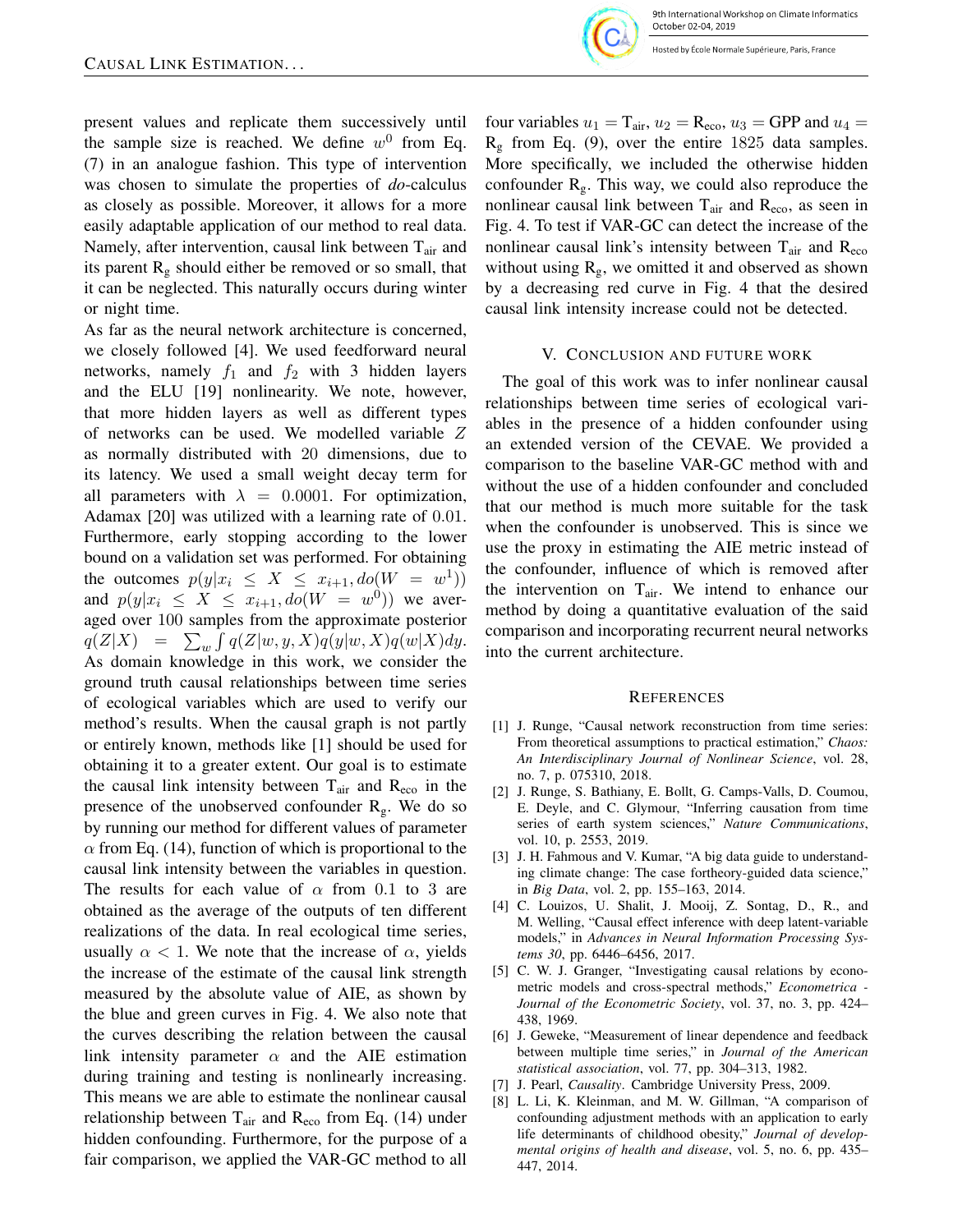

Hosted by École Normale Supérieure, Paris, France

present values and replicate them successively until the sample size is reached. We define  $w^0$  from Eq. (7) in an analogue fashion. This type of intervention was chosen to simulate the properties of *do*-calculus as closely as possible. Moreover, it allows for a more easily adaptable application of our method to real data. Namely, after intervention, causal link between  $T_{air}$  and its parent  $R_g$  should either be removed or so small, that it can be neglected. This naturally occurs during winter or night time.

As far as the neural network architecture is concerned, we closely followed [4]. We used feedforward neural networks, namely  $f_1$  and  $f_2$  with 3 hidden layers and the ELU [19] nonlinearity. We note, however, that more hidden layers as well as different types of networks can be used. We modelled variable Z as normally distributed with 20 dimensions, due to its latency. We used a small weight decay term for all parameters with  $\lambda = 0.0001$ . For optimization, Adamax [20] was utilized with a learning rate of 0.01. Furthermore, early stopping according to the lower bound on a validation set was performed. For obtaining the outcomes  $p(y|x_i \leq X \leq x_{i+1}, do(W = w^1))$ and  $p(y|x_i \leq X \leq x_{i+1}, do(W = w^0))$  we averaged over 100 samples from the approximate posterior  $q(Z|X) = \sum_{w} \int q(Z|w, y, X)q(y|w, X)q(w|X)dy.$ As domain knowledge in this work, we consider the ground truth causal relationships between time series of ecological variables which are used to verify our method's results. When the causal graph is not partly or entirely known, methods like [1] should be used for obtaining it to a greater extent. Our goal is to estimate the causal link intensity between  $T_{air}$  and  $R_{eco}$  in the presence of the unobserved confounder  $R_g$ . We do so by running our method for different values of parameter  $\alpha$  from Eq. (14), function of which is proportional to the causal link intensity between the variables in question. The results for each value of  $\alpha$  from 0.1 to 3 are obtained as the average of the outputs of ten different realizations of the data. In real ecological time series, usually  $\alpha$  < 1. We note that the increase of  $\alpha$ , yields the increase of the estimate of the causal link strength measured by the absolute value of AIE, as shown by the blue and green curves in Fig. 4. We also note that the curves describing the relation between the causal link intensity parameter  $\alpha$  and the AIE estimation during training and testing is nonlinearly increasing. This means we are able to estimate the nonlinear causal relationship between  $T_{air}$  and  $R_{eco}$  from Eq. (14) under hidden confounding. Furthermore, for the purpose of a fair comparison, we applied the VAR-GC method to all four variables  $u_1 = T_{air}$ ,  $u_2 = R_{eco}$ ,  $u_3 = GPP$  and  $u_4 =$  $R<sub>g</sub>$  from Eq. (9), over the entire 1825 data samples. More specifically, we included the otherwise hidden confounder  $R<sub>g</sub>$ . This way, we could also reproduce the nonlinear causal link between  $T_{air}$  and  $R_{eco}$ , as seen in Fig. 4. To test if VAR-GC can detect the increase of the nonlinear causal link's intensity between  $T_{\text{air}}$  and  $R_{\text{eco}}$ without using  $R_g$ , we omitted it and observed as shown by a decreasing red curve in Fig. 4 that the desired causal link intensity increase could not be detected.

#### V. CONCLUSION AND FUTURE WORK

The goal of this work was to infer nonlinear causal relationships between time series of ecological variables in the presence of a hidden confounder using an extended version of the CEVAE. We provided a comparison to the baseline VAR-GC method with and without the use of a hidden confounder and concluded that our method is much more suitable for the task when the confounder is unobserved. This is since we use the proxy in estimating the AIE metric instead of the confounder, influence of which is removed after the intervention on  $T_{air}$ . We intend to enhance our method by doing a quantitative evaluation of the said comparison and incorporating recurrent neural networks into the current architecture.

#### **REFERENCES**

- [1] J. Runge, "Causal network reconstruction from time series: From theoretical assumptions to practical estimation," *Chaos: An Interdisciplinary Journal of Nonlinear Science*, vol. 28, no. 7, p. 075310, 2018.
- [2] J. Runge, S. Bathiany, E. Bollt, G. Camps-Valls, D. Coumou, E. Deyle, and C. Glymour, "Inferring causation from time series of earth system sciences," *Nature Communications*, vol. 10, p. 2553, 2019.
- [3] J. H. Fahmous and V. Kumar, "A big data guide to understanding climate change: The case fortheory-guided data science," in *Big Data*, vol. 2, pp. 155–163, 2014.
- [4] C. Louizos, U. Shalit, J. Mooij, Z. Sontag, D., R., and M. Welling, "Causal effect inference with deep latent-variable models," in *Advances in Neural Information Processing Systems 30*, pp. 6446–6456, 2017.
- [5] C. W. J. Granger, "Investigating causal relations by econometric models and cross-spectral methods," *Econometrica - Journal of the Econometric Society*, vol. 37, no. 3, pp. 424– 438, 1969.
- [6] J. Geweke, "Measurement of linear dependence and feedback between multiple time series," in *Journal of the American statistical association*, vol. 77, pp. 304–313, 1982.
- [7] J. Pearl, *Causality*. Cambridge University Press, 2009.
- [8] L. Li, K. Kleinman, and M. W. Gillman, "A comparison of confounding adjustment methods with an application to early life determinants of childhood obesity," *Journal of developmental origins of health and disease*, vol. 5, no. 6, pp. 435– 447, 2014.